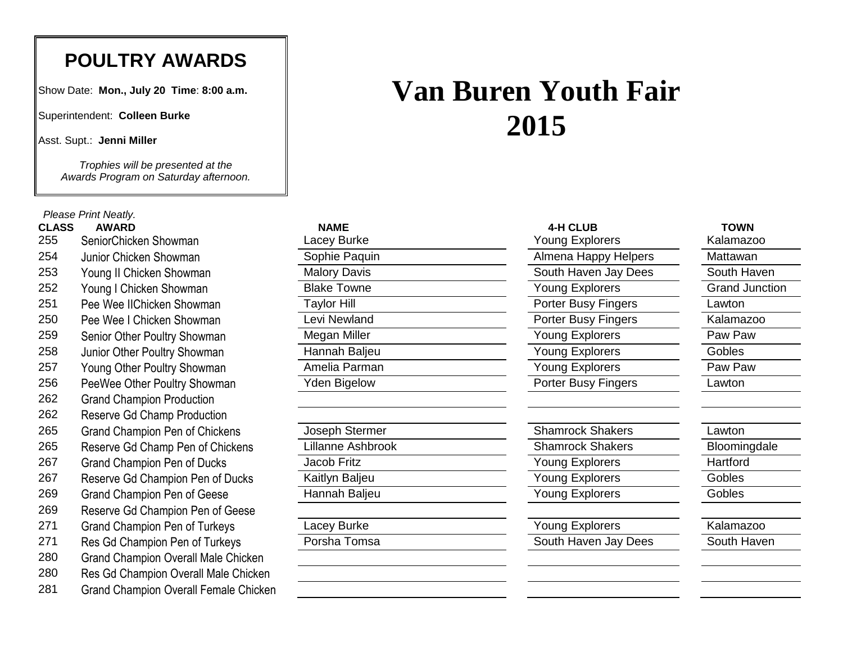## **POULTRY AWARDS**

Show Date: **Mon., July 20 Time**: **8:00 a.m.**

Superintendent: **Colleen Burke**

Asst. Supt.: **Jenni Miller**

*Trophies will be presented at the Awards Program on Saturday afternoon.*

*Please Print Neatly.*

| <b>CLASS</b> | <b>AWARD</b>                                 | <b>NAME</b>         | 4-H CLUB                | <b>TOWN</b>           |
|--------------|----------------------------------------------|---------------------|-------------------------|-----------------------|
| 255          | SeniorChicken Showman                        | Lacey Burke         | <b>Young Explorers</b>  | Kalamazoo             |
| 254          | Junior Chicken Showman                       | Sophie Paquin       | Almena Happy Helpers    | Mattawan              |
| 253          | Young II Chicken Showman                     | <b>Malory Davis</b> | South Haven Jay Dees    | South Haven           |
| 252          | Young I Chicken Showman                      | <b>Blake Towne</b>  | Young Explorers         | <b>Grand Junction</b> |
| 251          | Pee Wee IIChicken Showman                    | <b>Taylor Hill</b>  | Porter Busy Fingers     | Lawton                |
| 250          | Pee Wee I Chicken Showman                    | Levi Newland        | Porter Busy Fingers     | Kalamazoo             |
| 259          | Senior Other Poultry Showman                 | Megan Miller        | Young Explorers         | Paw Paw               |
| 258          | Junior Other Poultry Showman                 | Hannah Baljeu       | Young Explorers         | Gobles                |
| 257          | Young Other Poultry Showman                  | Amelia Parman       | Young Explorers         | Paw Paw               |
| 256          | PeeWee Other Poultry Showman                 | Yden Bigelow        | Porter Busy Fingers     | Lawton                |
| 262          | <b>Grand Champion Production</b>             |                     |                         |                       |
| 262          | Reserve Gd Champ Production                  |                     |                         |                       |
| 265          | <b>Grand Champion Pen of Chickens</b>        | Joseph Stermer      | <b>Shamrock Shakers</b> | Lawton                |
| 265          | Reserve Gd Champ Pen of Chickens             | Lillanne Ashbrook   | <b>Shamrock Shakers</b> | Bloomingdale          |
| 267          | <b>Grand Champion Pen of Ducks</b>           | Jacob Fritz         | Young Explorers         | Hartford              |
| 267          | Reserve Gd Champion Pen of Ducks             | Kaitlyn Baljeu      | Young Explorers         | Gobles                |
| 269          | Grand Champion Pen of Geese                  | Hannah Baljeu       | <b>Young Explorers</b>  | Gobles                |
| 269          | Reserve Gd Champion Pen of Geese             |                     |                         |                       |
| 271          | <b>Grand Champion Pen of Turkeys</b>         | Lacey Burke         | Young Explorers         | Kalamazoo             |
| 271          | Res Gd Champion Pen of Turkeys               | Porsha Tomsa        | South Haven Jay Dees    | South Haven           |
| 280          | <b>Grand Champion Overall Male Chicken</b>   |                     |                         |                       |
| 280          | Res Gd Champion Overall Male Chicken         |                     |                         |                       |
| 281          | <b>Grand Champion Overall Female Chicken</b> |                     |                         |                       |

| Van Buren Youth Fair |  |  |  |  |  |  |  |
|----------------------|--|--|--|--|--|--|--|
| 2015                 |  |  |  |  |  |  |  |

| NAME         |
|--------------|
| acey Burke   |
| ophie Paquin |
| lalory Davis |
| lake Towne   |
| aylor Hill   |
|              |

| <b>4-H CLUB</b>            |
|----------------------------|
| <b>Young Explorers</b>     |
| Almena Happy Helpers       |
| South Haven Jay Dees       |
| <b>Young Explorers</b>     |
| <b>Porter Busy Fingers</b> |
| Porter Busy Fingers        |
| <b>Young Explorers</b>     |
| <b>Young Explorers</b>     |
| <b>Young Explorers</b>     |
| Porter Busy Fingers        |